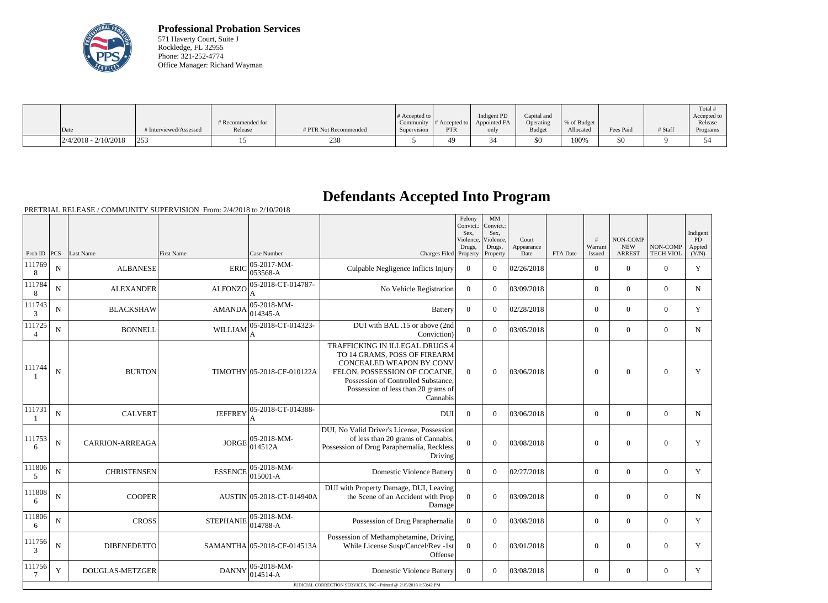

**Professional Probation Services** 571 Haverty Court, Suite J Rockledge, FL 32955 Phone: 321-252-4774 Office Manager: Richard Wayman

|                        |                        | # Recommended for |                       | $\#$ Accepted to $\ $ |              | Indigent PD<br>Community $\ #$ Accepted to $\ $ Appointed FA | Capital and<br>Operating | % of Budget |           |         | Total<br>Accepted to<br>Release |
|------------------------|------------------------|-------------------|-----------------------|-----------------------|--------------|--------------------------------------------------------------|--------------------------|-------------|-----------|---------|---------------------------------|
| Date                   | # Interviewed/Assessed | Release           | # PTR Not Recommended | Supervision           | <b>PTR</b>   | only                                                         | <b>Budget</b>            | Allocated   | Fees Paid | # Staff | Programs                        |
| $2/4/2018 - 2/10/2018$ | 253                    |                   | 238                   |                       | $40^{\circ}$ |                                                              | \$0                      | 100%        | \$0       |         |                                 |

## **Defendants Accepted Into Program**

|                          |                |                        |                   |                             |                                                                                                                                                                                                                              | Felony<br>Convict.:<br>Sex.<br>Violence,<br>Drugs, | MM<br>Convict.:<br>Sex,<br>Violence,<br>Drugs, | Court<br>Appearance |          | $\pm$<br>Warrant | <b>NON-COMP</b><br><b>NEW</b> | NON-COMP         | Indigent<br>PD<br>Appted |
|--------------------------|----------------|------------------------|-------------------|-----------------------------|------------------------------------------------------------------------------------------------------------------------------------------------------------------------------------------------------------------------------|----------------------------------------------------|------------------------------------------------|---------------------|----------|------------------|-------------------------------|------------------|--------------------------|
| Prob ID $ PCS $          |                | Last Name              | <b>First Name</b> | Case Number                 | Charges Filed Property                                                                                                                                                                                                       |                                                    | Property                                       | Date                | FTA Date | Issued           | <b>ARREST</b>                 | <b>TECH VIOL</b> | (Y/N)                    |
| 111769<br>8              | N              | <b>ALBANESE</b>        | <b>ERIC</b>       | 05-2017-MM-<br>053568-A     | Culpable Negligence Inflicts Injury                                                                                                                                                                                          | $\overline{0}$                                     | $\theta$                                       | 02/26/2018          |          | $\overline{0}$   | $\mathbf{0}$                  | $\Omega$         | Y                        |
| 111784<br>8              | N              | <b>ALEXANDER</b>       | <b>ALFONZO</b>    | 05-2018-CT-014787-          | No Vehicle Registration                                                                                                                                                                                                      | $\overline{0}$                                     | $\theta$                                       | 03/09/2018          |          | $\overline{0}$   | $\mathbf{0}$                  | $\overline{0}$   | N                        |
| 111743<br>3              | $\mathbf N$    | <b>BLACKSHAW</b>       | <b>AMANDA</b>     | 05-2018-MM-<br>014345-A     | <b>Battery</b>                                                                                                                                                                                                               | $\Omega$                                           | $\theta$                                       | 02/28/2018          |          | $\overline{0}$   | $\mathbf{0}$                  | $\Omega$         | Y                        |
| 111725<br>$\overline{4}$ | $\mathbf N$    | <b>BONNELL</b>         | <b>WILLIAM</b>    | 05-2018-CT-014323-<br>A     | DUI with BAL .15 or above (2nd<br>Conviction)                                                                                                                                                                                | $\overline{0}$                                     | $\theta$                                       | 03/05/2018          |          | $\overline{0}$   | $\mathbf{0}$                  | $\overline{0}$   | $\mathbf N$              |
| 111744                   | $\overline{N}$ | <b>BURTON</b>          |                   | TIMOTHY 05-2018-CF-010122A  | TRAFFICKING IN ILLEGAL DRUGS 4<br>TO 14 GRAMS, POSS OF FIREARM<br><b>CONCEALED WEAPON BY CONV</b><br>FELON, POSSESSION OF COCAINE,<br>Possession of Controlled Substance,<br>Possession of less than 20 grams of<br>Cannabis | $\Omega$                                           | $\mathbf{0}$                                   | 03/06/2018          |          | $\mathbf{0}$     | $\mathbf{0}$                  | $\mathbf{0}$     | Y                        |
| 111731                   | $\mathbf N$    | <b>CALVERT</b>         | <b>JEFFREY</b>    | 05-2018-CT-014388-          | <b>DUI</b>                                                                                                                                                                                                                   | $\Omega$                                           | $\theta$                                       | 03/06/2018          |          | $\overline{0}$   | $\mathbf{0}$                  | $\overline{0}$   | N                        |
| 111753<br>6              | $\mathbf N$    | <b>CARRION-ARREAGA</b> | <b>JORGE</b>      | 05-2018-MM-<br>014512A      | DUI, No Valid Driver's License, Possession<br>of less than 20 grams of Cannabis,<br>Possession of Drug Paraphernalia, Reckless<br>Driving                                                                                    | $\Omega$                                           | $\Omega$                                       | 03/08/2018          |          | $\overline{0}$   | $\mathbf{0}$                  | $\boldsymbol{0}$ | Y                        |
| 111806<br>5              | $\mathbf N$    | <b>CHRISTENSEN</b>     | <b>ESSENCE</b>    | 05-2018-MM-<br>015001-A     | <b>Domestic Violence Battery</b>                                                                                                                                                                                             | $\Omega$                                           | $\Omega$                                       | 02/27/2018          |          | $\overline{0}$   | $\boldsymbol{0}$              | $\mathbf{0}$     | Y                        |
| 111808<br>6              | N              | <b>COOPER</b>          |                   | AUSTIN 05-2018-CT-014940A   | DUI with Property Damage, DUI, Leaving<br>the Scene of an Accident with Prop<br>Damage                                                                                                                                       | $\overline{0}$                                     | $\overline{0}$                                 | 03/09/2018          |          | $\boldsymbol{0}$ | $\Omega$                      | $\overline{0}$   | N                        |
| 111806<br>6              | N              | <b>CROSS</b>           | <b>STEPHANIE</b>  | 05-2018-MM-<br>014788-A     | Possession of Drug Paraphernalia                                                                                                                                                                                             | $\Omega$                                           | $\theta$                                       | 03/08/2018          |          | $\Omega$         | $\mathbf{0}$                  | $\overline{0}$   | Y                        |
| 111756<br>3              | $\mathbf N$    | <b>DIBENEDETTO</b>     |                   | SAMANTHA 05-2018-CF-014513A | Possession of Methamphetamine, Driving<br>While License Susp/Cancel/Rev -1st<br>Offense                                                                                                                                      | $\overline{0}$                                     | $\theta$                                       | 03/01/2018          |          | $\theta$         | $\Omega$                      | $\mathbf{0}$     | Y                        |
| 111756<br>7              | Y              | <b>DOUGLAS-METZGER</b> | <b>DANNY</b>      | 05-2018-MM-<br>014514-A     | <b>Domestic Violence Battery</b><br>JUDICIAL CORRECTION SERVICES, INC - Printed @ 2/15/2018 1:53:42 PM                                                                                                                       | $\theta$                                           | $\theta$                                       | 03/08/2018          |          | $\overline{0}$   | $\mathbf{0}$                  | $\mathbf{0}$     | Y                        |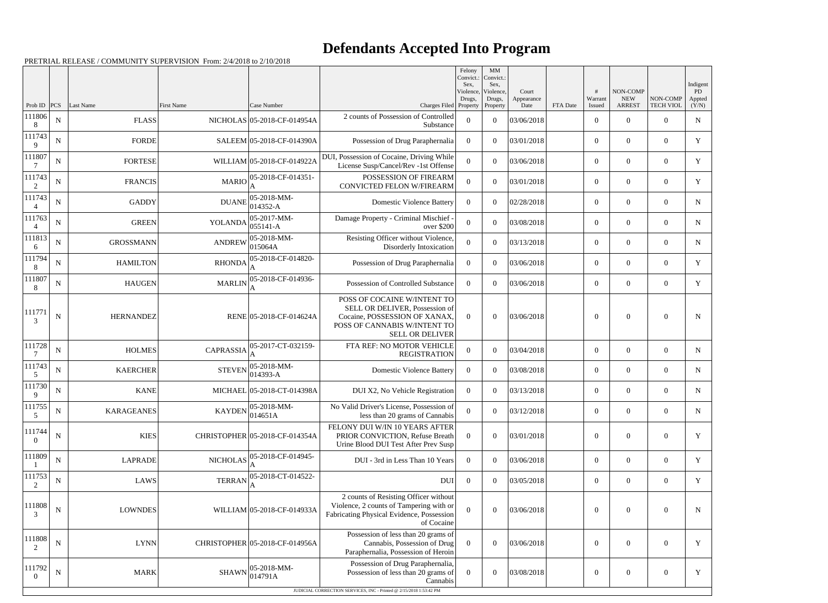## **Defendants Accepted Into Program**

| Prob ID                  | PCS         | Last Name         | First Name       | Case Number                                                                       | Charges Filed Property                                                                                                                                     | Felony<br>Convict.:<br>Sex.<br>Violence,<br>Drugs, | MM<br>Convict.:<br>Sex,<br>Violence,<br>Drugs,<br>Property | Court<br>Appearance<br>Date | FTA Date | Warrant<br>Issued | NON-COMP<br><b>NEW</b><br><b>ARREST</b> | NON-COMP<br><b>TECH VIOL</b> | Indigent<br>PD<br>Appted<br>(Y/N) |
|--------------------------|-------------|-------------------|------------------|-----------------------------------------------------------------------------------|------------------------------------------------------------------------------------------------------------------------------------------------------------|----------------------------------------------------|------------------------------------------------------------|-----------------------------|----------|-------------------|-----------------------------------------|------------------------------|-----------------------------------|
| 111806<br>8              | $\mathbf N$ | <b>FLASS</b>      |                  | NICHOLAS 05-2018-CF-014954A                                                       | 2 counts of Possession of Controlled<br>Substance                                                                                                          | $\theta$                                           | $\Omega$                                                   | 03/06/2018                  |          | $\overline{0}$    | $\theta$                                | $\overline{0}$               | ${\bf N}$                         |
| 111743<br>9              | N           | <b>FORDE</b>      |                  | SALEEM 05-2018-CF-014390A                                                         | Possession of Drug Paraphernalia                                                                                                                           | $\overline{0}$                                     | $\Omega$                                                   | 03/01/2018                  |          | $\overline{0}$    | $\overline{0}$                          | $\overline{0}$               | Y                                 |
| 111807                   | N           | <b>FORTESE</b>    |                  | WILLIAM 05-2018-CF-014922A                                                        | DUI, Possession of Cocaine, Driving While<br>License Susp/Cancel/Rev -1st Offense                                                                          | $\overline{0}$                                     | $\Omega$                                                   | 03/06/2018                  |          | $\theta$          | $\theta$                                | $\overline{0}$               | Y                                 |
| 111743<br>2              | ${\bf N}$   | <b>FRANCIS</b>    |                  | $MARIO$ <sup>05-2018-CF-014351-</sup>                                             | POSSESSION OF FIREARM<br>CONVICTED FELON W/FIREARM                                                                                                         | $\theta$                                           | $\theta$                                                   | 03/01/2018                  |          | $\boldsymbol{0}$  | $\overline{0}$                          | $\overline{0}$               | Y                                 |
| 111743<br>$\Delta$       | N           | <b>GADDY</b>      |                  | $DUANE$ $05-2018-MM-$<br>$ 014352 - A$                                            | <b>Domestic Violence Battery</b>                                                                                                                           | $\theta$                                           | $\Omega$                                                   | 02/28/2018                  |          | $\overline{0}$    | $\theta$                                | $\overline{0}$               | N                                 |
| 111763                   | N           | <b>GREEN</b>      | YOLANDA          | $ 05-2017-MM-$<br>$ 055141 - A$                                                   | Damage Property - Criminal Mischief<br>over \$200                                                                                                          | $\overline{0}$                                     | $\theta$                                                   | 03/08/2018                  |          | $\boldsymbol{0}$  | $\overline{0}$                          | $\overline{0}$               | $\mathbf N$                       |
| 111813<br>6              | $\mathbf N$ | <b>GROSSMANN</b>  | <b>ANDREW</b>    | $ 05-2018-MM-$<br>015064A                                                         | Resisting Officer without Violence,<br>Disorderly Intoxication                                                                                             | $\theta$                                           | $\Omega$                                                   | 03/13/2018                  |          | $\theta$          | $\theta$                                | $\overline{0}$               | $\mathbf N$                       |
| 111794<br>8              | N           | <b>HAMILTON</b>   | <b>RHONDA</b>    | 05-2018-CF-014820-                                                                | Possession of Drug Paraphernalia                                                                                                                           | $\overline{0}$                                     | $\Omega$                                                   | 03/06/2018                  |          | $\boldsymbol{0}$  | $\overline{0}$                          | $\overline{0}$               | Y                                 |
| 111807<br>-8             | $\mathbf N$ | <b>HAUGEN</b>     | <b>MARLIN</b>    | 05-2018-CF-014936-<br>A                                                           | Possession of Controlled Substance                                                                                                                         | $\theta$                                           | $\theta$                                                   | 03/06/2018                  |          | $\overline{0}$    | $\theta$                                | $\overline{0}$               | Y                                 |
| 111771<br>3              | N           | <b>HERNANDEZ</b>  |                  | RENE 05-2018-CF-014624A                                                           | POSS OF COCAINE W/INTENT TO<br>SELL OR DELIVER, Possession of<br>Cocaine, POSSESSION OF XANAX,<br>POSS OF CANNABIS W/INTENT TO<br><b>SELL OR DELIVER</b>   | $\overline{0}$                                     | $\theta$                                                   | 03/06/2018                  |          | $\overline{0}$    | $\theta$                                | $\Omega$                     | N                                 |
| 111728                   | $\mathbf N$ | <b>HOLMES</b>     | <b>CAPRASSIA</b> | 05-2017-CT-032159-                                                                | FTA REF: NO MOTOR VEHICLE<br><b>REGISTRATION</b>                                                                                                           | $\overline{0}$                                     | $\theta$                                                   | 03/04/2018                  |          | $\boldsymbol{0}$  | $\overline{0}$                          | $\mathbf{0}$                 | ${\bf N}$                         |
| 111743<br>5              | ${\bf N}$   | <b>KAERCHER</b>   | <b>STEVEN</b>    | 05-2018-MM-<br>014393-A                                                           | <b>Domestic Violence Battery</b>                                                                                                                           | $\overline{0}$                                     | $\overline{0}$                                             | 03/08/2018                  |          | $\overline{0}$    | $\overline{0}$                          | $\boldsymbol{0}$             | N                                 |
| 111730<br>9              | N           | <b>KANE</b>       |                  | MICHAEL 05-2018-CT-014398A                                                        | DUI X2, No Vehicle Registration                                                                                                                            | $\mathbf{0}$                                       | $\theta$                                                   | 03/13/2018                  |          | $\overline{0}$    | $\overline{0}$                          | $\overline{0}$               | $\mathbf N$                       |
| 111755<br>5              | ${\bf N}$   | <b>KARAGEANES</b> |                  | $KAYDEN$ 05-2018-MM-<br>014651A                                                   | No Valid Driver's License, Possession of<br>less than 20 grams of Cannabis                                                                                 | $\theta$                                           | $\boldsymbol{0}$                                           | 03/12/2018                  |          | $\boldsymbol{0}$  | $\boldsymbol{0}$                        | $\boldsymbol{0}$             | N                                 |
| 111744<br>$\overline{0}$ | ${\bf N}$   | <b>KIES</b>       |                  | CHRISTOPHER 05-2018-CF-014354A                                                    | FELONY DUI W/IN 10 YEARS AFTER<br>PRIOR CONVICTION, Refuse Breath<br>Urine Blood DUI Test After Prev Susp                                                  | $\theta$                                           | $\theta$                                                   | 03/01/2018                  |          | $\boldsymbol{0}$  | $\overline{0}$                          | $\overline{0}$               | Y                                 |
| 111809                   | $\mathbf N$ | <b>LAPRADE</b>    |                  | NICHOLAS $\left  \begin{smallmatrix} 05-2018 \ -014945 \end{smallmatrix} \right $ | DUI - 3rd in Less Than 10 Years                                                                                                                            | $\theta$                                           | $\theta$                                                   | 03/06/2018                  |          | $\overline{0}$    | $\overline{0}$                          | $\overline{0}$               | Y                                 |
| 111753<br>2              | N           | <b>LAWS</b>       | <b>TERRAN</b>    | 05-2018-CT-014522-                                                                | <b>DUI</b>                                                                                                                                                 | $\overline{0}$                                     | $\theta$                                                   | 03/05/2018                  |          | $\boldsymbol{0}$  | $\overline{0}$                          | $\overline{0}$               | Y                                 |
| 111808<br>3              | ${\bf N}$   | <b>LOWNDES</b>    |                  | WILLIAM 05-2018-CF-014933A                                                        | 2 counts of Resisting Officer without<br>Violence, 2 counts of Tampering with or<br>Fabricating Physical Evidence, Possession<br>of Cocaine                | $\Omega$                                           | $\theta$                                                   | 03/06/2018                  |          | $\mathbf{0}$      | $\overline{0}$                          | $\overline{0}$               | N                                 |
| 111808<br>2              | N           | <b>LYNN</b>       |                  | CHRISTOPHER 05-2018-CF-014956A                                                    | Possession of less than 20 grams of<br>Cannabis, Possession of Drug<br>Paraphernalia, Possession of Heroin                                                 | $\theta$                                           | $\theta$                                                   | 03/06/2018                  |          | $\boldsymbol{0}$  | $\overline{0}$                          | $\overline{0}$               | $\mathbf Y$                       |
| 111792<br>$\left($       | ${\bf N}$   | <b>MARK</b>       | <b>SHAWN</b>     | $ 05 - 2018 - MM -$<br> 014791A                                                   | Possession of Drug Paraphernalia,<br>Possession of less than 20 grams of<br>Cannabis<br>JUDICIAL CORRECTION SERVICES, INC - Printed @ 2/15/2018 1:53:42 PM | $\overline{0}$                                     | $\overline{0}$                                             | 03/08/2018                  |          | $\mathbf{0}$      | $\overline{0}$                          | $\overline{0}$               | Y                                 |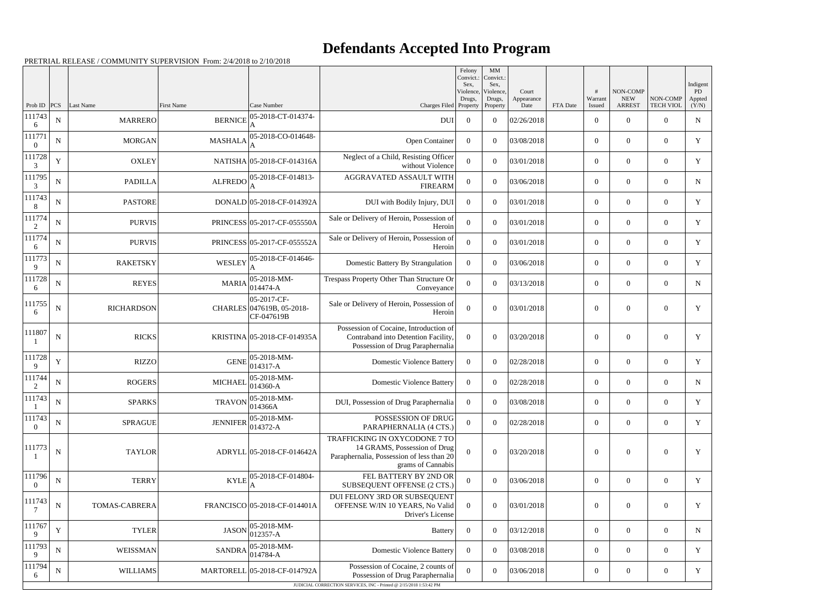## **Defendants Accepted Into Program**

|                    |             |                      |                             |                                                                           |                                                                                                                                 | Felony<br>Convict.:<br>Sex.<br>Violence,<br>Drugs, | MM<br>Convict.<br>Sex,<br>Violence,<br>Drugs, | Court<br>Appearance |          | Warrant          | NON-COMP<br><b>NEW</b> | NON-COMP         | Indigent<br>PD<br>Appted |
|--------------------|-------------|----------------------|-----------------------------|---------------------------------------------------------------------------|---------------------------------------------------------------------------------------------------------------------------------|----------------------------------------------------|-----------------------------------------------|---------------------|----------|------------------|------------------------|------------------|--------------------------|
| Prob ID<br>111743  | <b>PCS</b>  | Last Name            | First Name                  | Case Number<br>05-2018-CT-014374-                                         | Charges Filed Property                                                                                                          |                                                    | Property                                      | Date                | FTA Date | Issued           | <b>ARREST</b>          | <b>TECH VIOL</b> | (Y/N)                    |
| 6                  | ${\bf N}$   | <b>MARRERO</b>       | <b>BERNICE</b>              |                                                                           | DUI                                                                                                                             | $\overline{0}$                                     | $\theta$                                      | 02/26/2018          |          | $\boldsymbol{0}$ | $\overline{0}$         | $\Omega$         | ${\bf N}$                |
| 111771<br>$\theta$ | $\mathbf N$ | <b>MORGAN</b>        | <b>MASHALA</b>              | 05-2018-CO-014648-                                                        | Open Container                                                                                                                  | $\Omega$                                           | $\theta$                                      | 03/08/2018          |          | $\boldsymbol{0}$ | $\overline{0}$         | $\overline{0}$   | Y                        |
| 111728<br>3        | Y           | <b>OXLEY</b>         |                             | NATISHA 05-2018-CF-014316A                                                | Neglect of a Child, Resisting Officer<br>without Violence                                                                       | $\theta$                                           | $\theta$                                      | 03/01/2018          |          | $\overline{0}$   | $\overline{0}$         | $\theta$         | Y                        |
| 111795<br>3        | $\mathbf N$ | <b>PADILLA</b>       |                             | $ALFREDO$ $ 05-2018-CF-014813-$                                           | AGGRAVATED ASSAULT WITH<br><b>FIREARM</b>                                                                                       | $\theta$                                           | $\theta$                                      | 03/06/2018          |          | $\mathbf{0}$     | $\overline{0}$         | $\overline{0}$   | N                        |
| 111743<br>8        | ${\bf N}$   | <b>PASTORE</b>       |                             | DONALD 05-2018-CF-014392A                                                 | DUI with Bodily Injury, DUI                                                                                                     | $\overline{0}$                                     | $\theta$                                      | 03/01/2018          |          | $\boldsymbol{0}$ | $\Omega$               | $\theta$         | Y                        |
| 111774<br>2        | $\mathbf N$ | <b>PURVIS</b>        |                             | PRINCESS 05-2017-CF-055550A                                               | Sale or Delivery of Heroin, Possession of<br>Heroin                                                                             | $\Omega$                                           | $\theta$                                      | 03/01/2018          |          | $\boldsymbol{0}$ | $\overline{0}$         | $\overline{0}$   | Y                        |
| 111774<br>6        | ${\bf N}$   | <b>PURVIS</b>        |                             | PRINCESS 05-2017-CF-055552A                                               | Sale or Delivery of Heroin, Possession of<br>Heroin                                                                             | $\theta$                                           | $\theta$                                      | 03/01/2018          |          | $\overline{0}$   | $\overline{0}$         | $\theta$         | Y                        |
| 111773<br>9        | $\mathbf N$ | <b>RAKETSKY</b>      | WESLEY                      | 05-2018-CF-014646-                                                        | Domestic Battery By Strangulation                                                                                               | $\Omega$                                           | $\theta$                                      | 03/06/2018          |          | $\overline{0}$   | $\overline{0}$         | $\overline{0}$   | Y                        |
| 111728<br>6        | ${\bf N}$   | <b>REYES</b>         | <b>MARIA</b>                | 05-2018-MM-<br>014474-A                                                   | Trespass Property Other Than Structure Or<br>Conveyance                                                                         | $\theta$                                           | $\theta$                                      | 03/13/2018          |          | $\boldsymbol{0}$ | $\theta$               | $\overline{0}$   | N                        |
| 111755<br>-6       | $\mathbf N$ | <b>RICHARDSON</b>    |                             | 05-2017-CF-<br>CHARLES 047619B, 05-2018-<br>CF-047619B                    | Sale or Delivery of Heroin, Possession of<br>Heroin                                                                             | $\overline{0}$                                     | $\theta$                                      | 03/01/2018          |          | $\mathbf{0}$     | $\overline{0}$         | $\theta$         | Y                        |
| 111807             | $\mathbf N$ | <b>RICKS</b>         | KRISTINA 05-2018-CF-014935A |                                                                           | Possession of Cocaine, Introduction of<br>Contraband into Detention Facility,<br>Possession of Drug Paraphernalia               | $\theta$                                           | $\Omega$                                      | 03/20/2018          |          | $\overline{0}$   | $\overline{0}$         | $\theta$         | Y                        |
| 111728<br>9        | Y           | <b>RIZZO</b>         | <b>GENE</b>                 | 05-2018-MM-<br>014317-A                                                   | <b>Domestic Violence Battery</b>                                                                                                | $\overline{0}$                                     | $\overline{0}$                                | 02/28/2018          |          | $\overline{0}$   | $\overline{0}$         | $\overline{0}$   | Y                        |
| 111744<br>2        | ${\bf N}$   | <b>ROGERS</b>        | <b>MICHAEL</b>              | 05-2018-MM-<br>014360-A                                                   | <b>Domestic Violence Battery</b>                                                                                                | $\overline{0}$                                     | $\theta$                                      | 02/28/2018          |          | $\boldsymbol{0}$ | $\overline{0}$         | $\overline{0}$   | $\mathbf N$              |
| 111743             | ${\bf N}$   | <b>SPARKS</b>        |                             | $TRAVON$ $\left  \frac{05\text{-}2018\text{-}MM}{0.15}\right $<br>014366A | DUI, Possession of Drug Paraphernalia                                                                                           | $\overline{0}$                                     | $\Omega$                                      | 03/08/2018          |          | $\overline{0}$   | $\overline{0}$         | $\overline{0}$   | Y                        |
| 111743<br>$\Omega$ | $\mathbf N$ | <b>SPRAGUE</b>       | <b>JENNIFER</b>             | 05-2018-MM-<br>014372-A                                                   | POSSESSION OF DRUG<br>PARAPHERNALIA (4 CTS.)                                                                                    | $\overline{0}$                                     | $\Omega$                                      | 02/28/2018          |          | $\overline{0}$   | $\overline{0}$         | $\overline{0}$   | Y                        |
| 111773             | ${\bf N}$   | <b>TAYLOR</b>        |                             | ADRYLL 05-2018-CF-014642A                                                 | TRAFFICKING IN OXYCODONE 7 TO<br>14 GRAMS, Possession of Drug<br>Paraphernalia, Possession of less than 20<br>grams of Cannabis | $\theta$                                           | $\theta$                                      | 03/20/2018          |          | $\overline{0}$   | $\boldsymbol{0}$       | $\theta$         | Y                        |
| 111796<br>$\Omega$ | N           | <b>TERRY</b>         | <b>KYLE</b>                 | 05-2018-CF-014804-                                                        | FEL BATTERY BY 2ND OR<br>SUBSEQUENT OFFENSE (2 CTS.)                                                                            | $\Omega$                                           | $\theta$                                      | 03/06/2018          |          | $\overline{0}$   | $\overline{0}$         | $\overline{0}$   | Y                        |
| 111743<br>7        | $\mathbf N$ | <b>TOMAS-CABRERA</b> |                             | FRANCISCO 05-2018-CF-014401A                                              | DUI FELONY 3RD OR SUBSEQUENT<br>OFFENSE W/IN 10 YEARS, No Valid<br>Driver's License                                             | $\theta$                                           | $\overline{0}$                                | 03/01/2018          |          | $\boldsymbol{0}$ | $\overline{0}$         | $\overline{0}$   | Y                        |
| 111767<br>9        | Y           | <b>TYLER</b>         | <b>JASON</b>                | 05-2018-MM-<br>012357-A                                                   | <b>Battery</b>                                                                                                                  | $\overline{0}$                                     | $\theta$                                      | 03/12/2018          |          | $\overline{0}$   | $\overline{0}$         | $\overline{0}$   | N                        |
| 111793<br>9        | ${\bf N}$   | <b>WEISSMAN</b>      | <b>SANDRA</b>               | 05-2018-MM-<br>014784-A                                                   | <b>Domestic Violence Battery</b>                                                                                                | $\overline{0}$                                     | $\theta$                                      | 03/08/2018          |          | $\overline{0}$   | $\overline{0}$         | $\Omega$         | Y                        |
| 111794<br>6        | ${\bf N}$   | WILLIAMS             |                             | MARTORELL 05-2018-CF-014792A                                              | Possession of Cocaine, 2 counts of<br>Possession of Drug Paraphernalia                                                          | $\overline{0}$                                     | $\overline{0}$                                | 03/06/2018          |          | $\overline{0}$   | $\boldsymbol{0}$       | $\overline{0}$   | Y                        |
|                    |             |                      |                             |                                                                           | JUDICIAL CORRECTION SERVICES, INC - Printed @ 2/15/2018 1:53:42 PM                                                              |                                                    |                                               |                     |          |                  |                        |                  |                          |